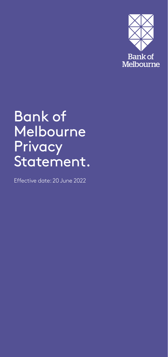

# Bank of Melbourne **Privacy** Statement.

Effective date: 20 June 2022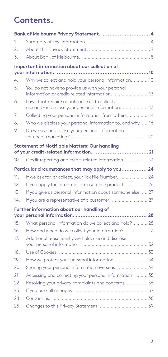# **Contents.**

|                 | Bank of Melbourne Privacy Statement.  4                                                            |  |
|-----------------|----------------------------------------------------------------------------------------------------|--|
| 1.              |                                                                                                    |  |
| 2.              |                                                                                                    |  |
| 3.              |                                                                                                    |  |
|                 | Important information about our collection of                                                      |  |
|                 |                                                                                                    |  |
| 4.              | Why we collect and hold your personal information. 10                                              |  |
| 5.              | You do not have to provide us with your personal<br>information or credit-related information. 13  |  |
| 6.              | Laws that require or authorise us to collect,<br>use and/or disclose your personal information. 13 |  |
| 7.              | Collecting your personal information from others.  14                                              |  |
| 8.              | Who we disclose your personal information to, and why. 16                                          |  |
| 9.              | Do we use or disclose your personal information                                                    |  |
|                 | <b>Statement of Notifiable Matters: Our handling</b>                                               |  |
|                 |                                                                                                    |  |
| 10.             | Credit reporting and credit-related information. 21                                                |  |
|                 | Particular circumstances that may apply to you.  24                                                |  |
| 11 <sup>1</sup> | If we ask for, or collect, your Tax File Number.  24                                               |  |
| 12.             | If you apply for, or obtain, an insurance product.  26                                             |  |
| 13.             | If you give us personal information about someone else. 27                                         |  |
| 14.             | If you are a representative of a customer. 27                                                      |  |
|                 | Further information about our handling of                                                          |  |
|                 |                                                                                                    |  |
| 15.             | What personal information do we collect and hold?  28                                              |  |
| 16.             | How and when do we collect your information? 31                                                    |  |
| 17.             | Additional reasons why we hold, use and disclose                                                   |  |
| 18.             |                                                                                                    |  |
| 19.             | How we protect your personal information.  34                                                      |  |
| 20.             | Sharing your personal information overseas.  34                                                    |  |
| 21.             | Accessing and correcting your personal information.  35                                            |  |
| 22.             | Resolving your privacy complaints and concerns.  36                                                |  |
| 23.             |                                                                                                    |  |
| 24.             |                                                                                                    |  |
| 25.             |                                                                                                    |  |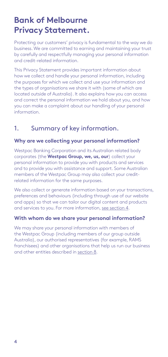# <span id="page-3-0"></span>**Bank of Melbourne Privacy Statement.**

Protecting our customers' privacy is fundamental to the way we do business. We are committed to earning and maintaining your trust by carefully and respectfully managing your personal information and credit-related information.

This Privacy Statement provides important information about how we collect and handle your personal information, including the purposes for which we collect and use your information and the types of organisations we share it with (some of which are located outside of Australia). It also explains how you can access and correct the personal information we hold about you, and how you can make a complaint about our handling of your personal information.

# 1. Summary of key information.

#### **Why are we collecting your personal information?**

Westpac Banking Corporation and its Australian related body corporates (the **Westpac Group, we, us, our**) collect your personal information to provide you with products and services and to provide you with assistance and support. Some Australian members of the Westpac Group may also collect your creditrelated information for the same purposes.

We also collect or generate information based on your transactions, preferences and behaviours (including through use of our website and apps) so that we can tailor our digital content and products and services to you. For more information, [see section 4.](#page-9-1)

#### **With whom do we share your personal information?**

We may share your personal information with members of the Westpac Group (including members of our group outside Australia), our authorised representatives (for example, RAMS franchisees) and other organisations that help us run our business and other entities described in [section 8.](#page-15-1)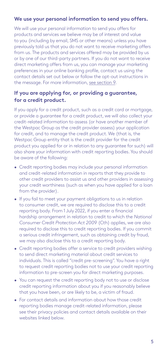#### **We use your personal information to send you offers.**

We will use your personal information to send you offers for products and services we believe may be of interest and value to you (including by email, SMS or other means) unless you have previously told us that you do not want to receive marketing offers from us. The products and services offered may be provided by us or by one of our third-party partners. If you do not want to receive direct marketing offers from us, you can manage your marketing preferences in your online banking profile, contact us using the contact details set out below or follow the opt-out instructions in the message. For more information, [see section 9](#page-19-1).

#### **If you are applying for, or providing a guarantee, for a credit product.**

If you apply for a credit product, such as a credit card or mortgage, or provide a guarantee for a credit product, we will also collect your credit-related information to assess (or have another member of the Westpac Group as the credit provider assess) your application for credit, and to manage the credit product. We (that is, the Westpac Group entity that is the credit provider for the credit product you applied for or in relation to any guarantee for such) will also share your information with credit reporting bodies. You should be aware of the following:

- Credit reporting bodies may include your personal information and credit-related information in reports that they provide to other credit providers to assist us and other providers in assessing your credit worthiness (such as when you have applied for a loan from the provider).
- If you fail to meet your payment obligations to us in relation to consumer credit, we are required to disclose this to a credit reporting body. From 1 July 2022, if you enter a financial hardship arrangement in relation to credit to which the *National Consumer Credit Protection Act 2009* (Cth) applies, we are also required to disclose this to credit reporting bodies. If you commit a serious credit infringement, such as obtaining credit by fraud, we may also disclose this to a credit reporting body.
- Credit reporting bodies offer a service to credit providers wishing to send direct marketing material about credit services to individuals. This is called "credit pre-screening". You have a right to request credit reporting bodies not to use your credit reporting information to pre-screen you for direct marketing purposes.
- You can request the credit reporting body not to use or disclose credit reporting information about you if you reasonably believe that you have been, or are likely to be, a victim of fraud.
- For contact details and information about how those credit reporting bodies manage credit-related information, please see their privacy policies and contact details available on their websites linked below.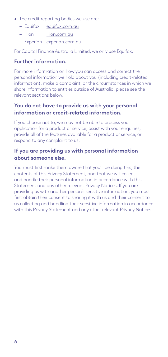- The credit reporting bodies we use are:
	- − Equifax [equifax.com.au](http://www.equifax.com.au)
	- − Illion [illion.com.au](http://www.illion.com.au)
	- − Experian [experian.com.au](https://www.experian.com.au/)

For Capital Finance Australia Limited, we only use Equifax.

#### **Further information.**

For more information on how you can access and correct the personal information we hold about you (including credit-related information), make a complaint, or the circumstances in which we share information to entities outside of Australia, please see the relevant sections below.

#### **You do not have to provide us with your personal information or credit-related information.**

If you choose not to, we may not be able to process your application for a product or service, assist with your enquiries, provide all of the features available for a product or service, or respond to any complaint to us.

#### **If you are providing us with personal information about someone else.**

You must first make them aware that you'll be doing this, the contents of this Privacy Statement, and that we will collect and handle their personal information in accordance with this Statement and any other relevant Privacy Notices. If you are providing us with another person's sensitive information, you must first obtain their consent to sharing it with us and their consent to us collecting and handling their sensitive information in accordance with this Privacy Statement and any other relevant Privacy Notices.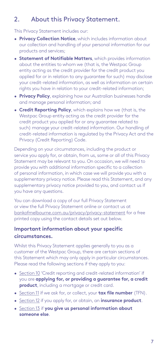# <span id="page-6-0"></span>2. About this Privacy Statement.

This Privacy Statement includes our:

- **Privacy Collection Notice**, which includes information about our collection and handling of your personal information for our products and services;
- **Statement of Notifiable Matters**, which provides information about the entities to whom we (that is, the Westpac Group entity acting as the credit provider for the credit product you applied for or in relation to any guarantee for such) may disclose your credit-related information, as well as information on certain rights you have in relation to your credit-related information;
- **Privacy Policy**, explaining how our Australian businesses handle and manage personal information; and
- **Credit Reporting Policy**, which explains how we (that is, the Westpac Group entity acting as the credit provider for the credit product you applied for or any guarantee related to such) manage your credit-related information. Our handling of credit-related information is regulated by the Privacy Act and the Privacy (Credit Reporting) Code.

Depending on your circumstances, including the product or service you apply for, or obtain, from us, some or all of this Privacy Statement may be relevant to you. On occasion, we will need to provide you with additional information specific to a collection of personal information, in which case we will provide you with a supplementary privacy notice. Please read this Statement, and any supplementary privacy notice provided to you, and contact us if you have any questions.

You can download a copy of our full Privacy Statement or view the full Privacy Statement online or contact us at [bankofmelbourne.com.au/privacy/privacy-statement](http://www.bankofmelbourne.com.au/privacy/privacy-statement) for a free printed copy using the contact details set out below.

#### **Important information about your specific circumstances.**

Whilst this Privacy Statement applies generally to you as a customer of the Westpac Group, there are certain sections of this Statement which may only apply in particular circumstances. Please read the following sections if they apply to you:

- [Section 10](#page-20-1) 'Credit reporting and credit-related information' if you are **applying for, or providing a guarantee for, a credit product**, including a mortgage or credit card.
- [Section 11](#page-23-1) if we ask for, or collect, your **tax file number** (TFN).
- [Section 12](#page-25-1) if you apply for, or obtain, an **insurance product**.
- [Section 13](#page-26-1) if **you give us personal information about someone else**.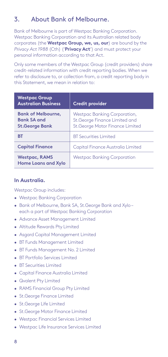# <span id="page-7-1"></span><span id="page-7-0"></span>3. About Bank of Melbourne.

Bank of Melbourne is part of Westpac Banking Corporation. Westpac Banking Corporation and its Australian related body corporates (the **Westpac Group, we, us, our**) are bound by the *Privacy Act 1988* (Cth) ('**Privacy Act**') and must protect your personal information according to that Act.

Only some members of the Westpac Group (credit providers) share credit-related information with credit reporting bodies. When we refer to disclosure to, or collection from, a credit reporting body in this Statement, we mean in relation to:

| <b>Westpac Group</b><br><b>Australian Business</b>                       | <b>Credit provider</b>                                                                            |  |
|--------------------------------------------------------------------------|---------------------------------------------------------------------------------------------------|--|
| <b>Bank of Melbourne,</b><br><b>Bank SA and</b><br><b>St.George Bank</b> | Westpac Banking Corporation,<br>St.George Finance Limited and<br>St. George Motor Finance Limited |  |
| вT                                                                       | <b>BT</b> Securities Limited                                                                      |  |
| <b>Capital Finance</b>                                                   | Capital Finance Australia Limited                                                                 |  |
| <b>Westpac, RAMS</b><br><b>Home Loans and Xylo</b>                       | <b>Westpac Banking Corporation</b>                                                                |  |

#### **In Australia.**

Westpac Group includes:

- Westpac Banking Corporation
- Bank of Melbourne, Bank SA, St.George Bank and Xylo each a part of Westpac Banking Corporation
- Advance Asset Management Limited
- Altitude Rewards Pty Limited
- Asgard Capital Management Limited
- BT Funds Management Limited
- BT Funds Management No. 2 Limited
- BT Portfolio Services Limited
- BT Securities Limited
- Capital Finance Australia Limited
- Qvalent Pty Limited
- RAMS Financial Group Pty Limited
- St.George Finance Limited
- St.George Life Limited
- St.George Motor Finance Limited
- Westpac Financial Services Limited
- Westpac Life Insurance Services Limited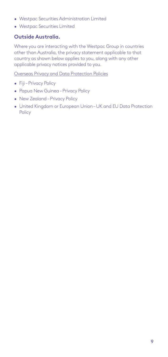- Westpac Securities Administration Limited
- Westpac Securities Limited

#### **Outside Australia.**

Where you are interacting with the Westpac Group in countries other than Australia, the privacy statement applicable to that country as shown below applies to you, along with any other applicable privacy notices provided to you.

[Overseas Privacy and Data Protection Policies](https://www.bankofmelbourne.com.au/privacy/overseas-privacy-and-data-protection-policies)

- Fiji Privacy Policy
- Papua New Guinea Privacy Policy
- New Zealand Privacy Policy
- United Kingdom or European Union UK and EU Data Protection Policy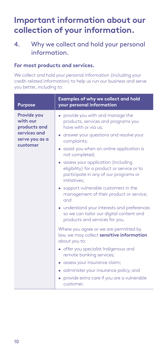# <span id="page-9-0"></span>**Important information about our collection of your information.**

# <span id="page-9-1"></span>4. Why we collect and hold your personal information.

#### **For most products and services.**

We collect and hold your personal information (including your credit-related information) to help us run our business and serve you better, including to:

| <b>Purpose</b>                                                                               | Examples of why we collect and hold<br>your personal information                                                                                                                                                                                                                                                                                                                       |  |
|----------------------------------------------------------------------------------------------|----------------------------------------------------------------------------------------------------------------------------------------------------------------------------------------------------------------------------------------------------------------------------------------------------------------------------------------------------------------------------------------|--|
| <b>Provide you</b><br>with our<br>products and<br>services and<br>serve you as a<br>customer | • provide you with and manage the<br>products, services and programs you<br>have with or via us;<br>• answer your questions and resolve your<br>complaints;<br>• assist you when an online application is                                                                                                                                                                              |  |
|                                                                                              | not completed;<br>• assess your application (including<br>eligibility) for a product or service or to<br>participate in any of our programs or<br>initiatives:<br>• support vulnerable customers in the<br>management of their product or service;<br>and<br>• understand your interests and preferences<br>so we can tailor our digital content and<br>products and services for you. |  |
|                                                                                              | Where you agree or we are permitted by<br>law, we may collect sensitive information<br>about you to:<br>• offer you specialist Indigenous and<br>remote banking services;<br>• assess your insurance claim;<br>• administer your insurance policy; and<br>• provide extra care if you are a vulnerable<br>customer.                                                                    |  |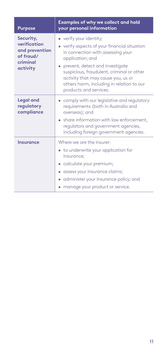| <b>Purpose</b>                                                                   | <b>Examples of why we collect and hold</b><br>your personal information                                                                                                                                                                                                                                                         |  |
|----------------------------------------------------------------------------------|---------------------------------------------------------------------------------------------------------------------------------------------------------------------------------------------------------------------------------------------------------------------------------------------------------------------------------|--|
| Security,<br>verification<br>and prevention<br>of fraud/<br>criminal<br>activity | • verify your identity;<br>• verify aspects of your financial situation<br>in connection with assessing your<br>application; and<br>• prevent, detect and investigate<br>suspicious, fraudulent, criminal or other<br>activity that may cause you, us or<br>others harm, including in relation to our<br>products and services. |  |
| <b>Legal and</b><br>regulatory<br>compliance                                     | • comply with our legislative and regulatory<br>requirements (both in Australia and<br>overseas); and<br>• share information with law enforcement.<br>regulators and government agencies,<br>including foreign government agencies.                                                                                             |  |
| <b>Insurance</b>                                                                 | Where we are the insurer:<br>• to underwrite your application for<br>insurance:<br>• calculate your premium;<br>• assess your insurance claims;<br>• administer your insurance policy; and<br>manage your product or service.                                                                                                   |  |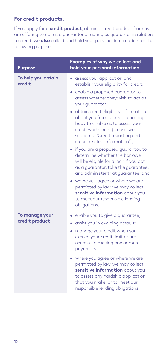#### **For credit products.**

If you apply for a **credit product**, obtain a credit product from us, are offering to act as a guarantor or acting as guarantor in relation to credit, we **also** collect and hold your personal information for the following purposes:

| <b>Purpose</b>                   | Examples of why we collect and<br>hold your personal information                                                                                                                                                                                                                                                                                                                                                                                                      |  |
|----------------------------------|-----------------------------------------------------------------------------------------------------------------------------------------------------------------------------------------------------------------------------------------------------------------------------------------------------------------------------------------------------------------------------------------------------------------------------------------------------------------------|--|
| To help you obtain<br>credit     | assess your application and<br>establish your eligibility for credit;<br>enable a proposed quarantor to<br>assess whether they wish to act as<br>your guarantor;<br>• obtain credit eligibility information<br>about you from a credit reporting<br>body to enable us to assess your<br>credit worthiness (please see<br>section 10 'Credit reporting and<br>credit-related information');<br>• if you are a proposed quarantor, to<br>determine whether the borrower |  |
|                                  | will be eligible for a loan if you act<br>as a guarantor, take the guarantee,<br>and administer that quarantee; and<br>• where you agree or where we are<br>permitted by law, we may collect<br>sensitive information about you<br>to meet our responsible lending<br>obligations.                                                                                                                                                                                    |  |
| To manage your<br>credit product | enable you to give a guarantee;<br>assist you in avoiding default;<br>manage your credit when you<br>exceed your credit limit or are<br>overdue in making one or more<br>payments.<br>• where you agree or where we are<br>permitted by law, we may collect                                                                                                                                                                                                           |  |
|                                  | sensitive information about you<br>to assess any hardship application<br>that you make, or to meet our<br>responsible lending obligations.                                                                                                                                                                                                                                                                                                                            |  |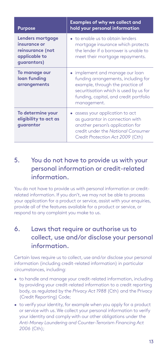<span id="page-12-0"></span>

| <b>Purpose</b>                                                                       | <b>Examples of why we collect and</b><br>hold your personal information                                                                                                                                     |  |
|--------------------------------------------------------------------------------------|-------------------------------------------------------------------------------------------------------------------------------------------------------------------------------------------------------------|--|
| Lenders mortgage<br>insurance or<br>reinsurance (not<br>applicable to<br>quarantors) | • to enable us to obtain lenders<br>mortgage insurance which protects<br>the lender if a borrower is unable to<br>meet their mortgage repayments.                                                           |  |
| To manage our<br>loan funding<br>arrangements                                        | implement and manage our loan<br>funding arrangements, including for<br>example, through the practice of<br>securitisation which is used by us for<br>funding, capital, and credit portfolio<br>management. |  |
| To determine your<br>eligibility to act as<br>quarantor                              | assess your application to act<br>as quarantor in connection with<br>another person's application for<br>credit under the National Consumer<br>Credit Protection Act 2009 (Cth)                             |  |

# 5. You do not have to provide us with your personal information or credit-related information.

You do not have to provide us with personal information or creditrelated information. If you don't, we may not be able to process your application for a product or service, assist with your enquiries, provide all of the features available for a product or service, or respond to any complaint you make to us.

# 6. Laws that require or authorise us to collect, use and/or disclose your personal information.

Certain laws require us to collect, use and/or disclose your personal information (including credit-related information) in particular circumstances, including:

- to handle and manage your credit-related information, including by providing your credit-related information to a credit reporting body, as regulated by the *Privacy Act 1988* (Cth) and the Privacy (Credit Reporting) Code;
- to verify your identity, for example when you apply for a product or service with us. We collect your personal information to verify your identity and comply with our other obligations under the *Anti-Money Laundering and Counter-Terrorism Financing Act 2006* (Cth);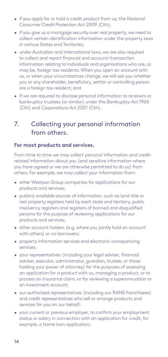- <span id="page-13-0"></span>• if you apply for or hold a credit product from us, the *National Consumer Credit Protection Act 2009* (Cth);
- if you give us a mortgage security over real property, we need to collect certain identification information under the property laws in various States and Territories;
- under Australian and international laws, we are also required to collect and report financial and account/transaction information relating to individuals and organisations who are, or may be, foreign tax residents. When you open an account with us, or when your circumstances change, we will ask you whether you or any shareholder, beneficiary, settlor or controlling person are a foreign tax resident; and
- if we are required to disclose personal information to receivers or bankruptcy trustees (or similar) under the *Bankruptcy Act 1966* (Cth) and *Corporations Act 2001* (Cth).

# 7. Collecting your personal information from others.

#### **For most products and services.**

From time to time we may collect personal information and creditrelated information about you (and sensitive information where you have agreed or we are otherwise permitted to do so) from others. For example, we may collect your information from:

- other Westpac Group companies for applications for our products and services;
- publicly available sources of information, such as land title or real property registers held by each state and territory, public insolvency registers and registers of banned and disqualified persons for the purpose of reviewing applications for our products and services;
- other account holders (e.g. where you jointly hold an account with others) or co-borrowers;
- property information services and electronic conveyancing services;
- your representatives (including your legal adviser, financial adviser, executor, administrator, guardian, trustee, or those holding your power of attorney) for the purposes of assessing an application for a product with us, managing a product, or to process an insurance claim, or for reviewing a superannuation or an investment account;
- our authorised representatives (including our RAMS franchisees) and credit representatives who sell or arrange products and services for you on our behalf;
- your current or previous employer, to confirm your employment status or salary in connection with an application for credit, for example, a home loan application;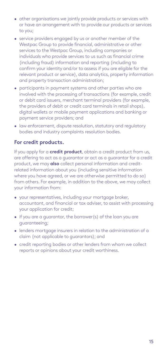- other organisations we jointly provide products or services with or have an arrangement with to provide our products or services to you;
- service providers engaged by us or another member of the Westpac Group to provide financial, administrative or other services to the Westpac Group, including companies or individuals who provide services to us such as financial crime (including fraud) information and reporting (including to confirm your identity and/or to assess if you are eligible for the relevant product or service), data analytics, property information and property transaction administration;
- participants in payment systems and other parties who are involved with the processing of transactions (for example, credit or debit card issuers, merchant terminal providers (for example, the providers of debit or credit card terminals in retail shops), digital wallets or mobile payment applications and banking or payment service providers; and
- law enforcement, dispute resolution, statutory and regulatory bodies and industry complaints resolution bodies.

#### **For credit products.**

If you apply for a **credit product**, obtain a credit product from us, are offering to act as a guarantor or act as a guarantor for a credit product, we may **also** collect personal information and creditrelated information about you (including sensitive information where you have agreed, or we are otherwise permitted to do so) from others. For example, in addition to the above, we may collect your information from:

- your representatives, including your mortgage broker, accountant, and financial or tax adviser, to assist with processing your application for credit;
- if you are a guarantor, the borrower(s) of the loan you are guaranteeing;
- lenders mortgage insurers in relation to the administration of a claim (not applicable to guarantors); and
- credit reporting bodies or other lenders from whom we collect reports or opinions about your credit worthiness.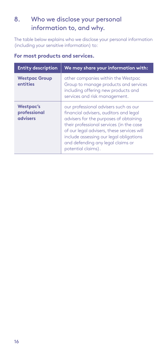# <span id="page-15-1"></span><span id="page-15-0"></span>8. Who we disclose your personal information to, and why.

The table below explains who we disclose your personal information (including your sensitive information) to:

| <b>Entity description</b>                    | We may share your information with:                                                                                                                                                                                                                                                                                       |  |
|----------------------------------------------|---------------------------------------------------------------------------------------------------------------------------------------------------------------------------------------------------------------------------------------------------------------------------------------------------------------------------|--|
| <b>Westpac Group</b><br>entities             | other companies within the Westpac<br>Group to manage products and services<br>including offering new products and<br>services and risk management.                                                                                                                                                                       |  |
| <b>Westpac's</b><br>professional<br>advisers | our professional advisers such as our<br>financial advisers, auditors and legal<br>advisers for the purposes of obtaining<br>their professional services (in the case<br>of our legal advisers, these services will<br>include assessing our legal obligations<br>and defending any legal claims or<br>potential claims). |  |

#### **For most products and services.**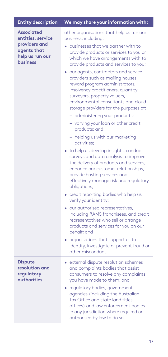| <b>Entity description</b>                                                                                    | We may share your information with:                                                                                                                                                                                                                                                                                                                                                                                                                                                                                                                                                                                                                                               |  |
|--------------------------------------------------------------------------------------------------------------|-----------------------------------------------------------------------------------------------------------------------------------------------------------------------------------------------------------------------------------------------------------------------------------------------------------------------------------------------------------------------------------------------------------------------------------------------------------------------------------------------------------------------------------------------------------------------------------------------------------------------------------------------------------------------------------|--|
| <b>Associated</b><br>entities, service<br>providers and<br>agents that<br>help us run our<br><b>business</b> | other organisations that help us run our<br>business, including:<br>• businesses that we partner with to<br>provide products or services to you or<br>which we have arrangements with to<br>provide products and services to you;<br>our agents, contractors and service<br>providers such as mailing houses,<br>reward program administrators,<br>insolvency practitioners, quantity<br>surveyors, property valuers,<br>environmental consultants and cloud<br>storage providers for the purposes of:                                                                                                                                                                            |  |
|                                                                                                              | - administering your products;<br>- varying your loan or other credit                                                                                                                                                                                                                                                                                                                                                                                                                                                                                                                                                                                                             |  |
|                                                                                                              | products; and<br>- helping us with our marketing<br>activities;<br>• to help us develop insights, conduct<br>surveys and data analysis to improve<br>the delivery of products and services,<br>enhance our customer relationships,<br>provide hosting services and<br>effectively manage risk and regulatory<br>obligations;<br>credit reporting bodies who help us<br>verify your identity;<br>· our authorised representatives,<br>including RAMS franchisees, and credit<br>representatives who sell or arrange<br>products and services for you on our<br>behalf; and<br>• organisations that support us to<br>identify, investigate or prevent fraud or<br>other misconduct. |  |
| <b>Dispute</b><br>resolution and<br>regulatory<br><b>authorities</b>                                         | • external dispute resolution schemes<br>and complaints bodies that assist<br>consumers to resolve any complaints<br>you have made to them; and<br>• regulatory bodies, government<br>agencies (including the Australian<br>Tax Office and state land titles<br>offices) and law enforcement bodies<br>in any jurisdiction where required or<br>authorised by law to do so.                                                                                                                                                                                                                                                                                                       |  |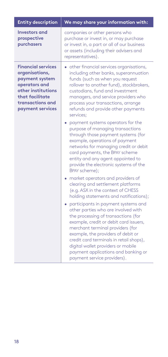| <b>Entity description</b>                                                                                                                                       | We may share your information with:                                                                                                                                                                                                                                                                                                                                                            |  |
|-----------------------------------------------------------------------------------------------------------------------------------------------------------------|------------------------------------------------------------------------------------------------------------------------------------------------------------------------------------------------------------------------------------------------------------------------------------------------------------------------------------------------------------------------------------------------|--|
| <b>Investors</b> and<br>prospective<br>purchasers                                                                                                               | companies or other persons who<br>purchase or invest in, or may purchase<br>or invest in, a part or all of our business<br>or assets (including their advisers and<br>representatives).                                                                                                                                                                                                        |  |
| <b>Financial services</b><br>organisations,<br>payment system<br>operators and<br>other institutions<br>that facilitate<br>transactions and<br>payment services | • other financial services organisations,<br>including other banks, superannuation<br>funds (such as when you request<br>rollover to another fund), stockbrokers,<br>custodians, fund and investment<br>managers, and service providers who<br>process your transactions, arrange<br>refunds and provide other payments<br>services:                                                           |  |
|                                                                                                                                                                 | • payment systems operators for the<br>purpose of managing transactions<br>through those payment systems (for<br>example, operations of payment<br>networks for managing credit or debit<br>card payments, the BPAY scheme<br>entity and any agent appointed to<br>provide the electronic systems of the<br>BPAY scheme);                                                                      |  |
|                                                                                                                                                                 | • market operators and providers of<br>clearing and settlement platforms<br>(e.g. ASX in the context of CHESS<br>holding statements and notifications);                                                                                                                                                                                                                                        |  |
|                                                                                                                                                                 | • participants in payment systems and<br>other parties who are involved with<br>the processing of transactions (for<br>example, credit or debit card issuers,<br>merchant terminal providers (for<br>example, the providers of debit or<br>credit card terminals in retail shops),<br>digital wallet providers or mobile<br>payment applications and banking or<br>payment service providers). |  |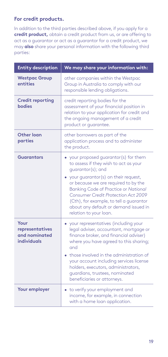#### **For credit products.**

In addition to the third parties described above, if you apply for a **credit product,** obtain a credit product from us, or are offering to act as a guarantor or act as a guarantor for a credit product, we may **also** share your personal information with the following third parties:

| <b>Entity description</b>                               | We may share your information with:                                                                                                                                                                                                      |  |
|---------------------------------------------------------|------------------------------------------------------------------------------------------------------------------------------------------------------------------------------------------------------------------------------------------|--|
| <b>Westpac Group</b><br>entities                        | other companies within the Westpac<br>Group in Australia to comply with our<br>responsible lending obligations.                                                                                                                          |  |
| <b>Credit reporting</b><br><b>bodies</b>                | credit reporting bodies for the<br>assessment of your financial position in<br>relation to your application for credit and<br>the ongoing management of a credit<br>product or guarantee.                                                |  |
| Other loan<br>parties                                   | other borrowers as part of the<br>application process and to administer<br>the product.                                                                                                                                                  |  |
| <b>Guarantors</b>                                       | • your proposed guarantor(s) for them<br>to assess if they wish to act as your<br>quarantor(s); and<br>• your guarantor(s) on their request,                                                                                             |  |
|                                                         | or because we are required to by the<br>Banking Code of Practice or National<br><b>Consumer Credit Protection Act 2009</b><br>(Cth), for example, to tell a guarantor<br>about any default or demand issued in<br>relation to your loan. |  |
| Your<br>representatives<br>and nominated<br>individuals | • your representatives (including your<br>legal adviser, accountant, mortgage or<br>finance broker, and financial adviser)<br>where you have agreed to this sharing;<br>and                                                              |  |
|                                                         | • those involved in the administration of<br>your account including services license<br>holders, executors, administrators,<br>guardians, trustees, nominated<br>beneficiaries or attorneys.                                             |  |
| Your employer                                           | • to verify your employment and<br>income, for example, in connection<br>with a home loan application.                                                                                                                                   |  |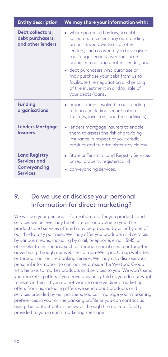<span id="page-19-0"></span>

| <b>Entity description</b>                                               | We may share your information with:                                                                                                                                                                                                                                                                                                                                                                                |  |
|-------------------------------------------------------------------------|--------------------------------------------------------------------------------------------------------------------------------------------------------------------------------------------------------------------------------------------------------------------------------------------------------------------------------------------------------------------------------------------------------------------|--|
| Debt collectors,<br>debt purchasers,<br>and other lenders               | • where permitted by law, to debt<br>collectors to collect any outstanding<br>amounts you owe to us or other<br>lenders, such as where you have given<br>mortgage security over the same<br>property to us and another lender; and<br>• debt purchasers who purchase or<br>may purchase your debt from us to<br>facilitate the negotiation and pricing<br>of the investment in and/or sale of<br>your debts/loans. |  |
| <b>Funding</b><br>organisations                                         | • organisations involved in our funding<br>of loans (including securitisation<br>trustees, investors, and their advisers).                                                                                                                                                                                                                                                                                         |  |
| <b>Lenders Mortgage</b><br><b>Insurers</b>                              | • lenders mortgage insurers to enable<br>them to assess the risk of providing<br>insurance in respect of your credit<br>product and to administer any claims.                                                                                                                                                                                                                                                      |  |
| <b>Land Registry</b><br>Services and<br>Conveyancing<br><b>Services</b> | • State or Territory Land Registry Services<br>or real property registers; and<br>• conveyancing services.                                                                                                                                                                                                                                                                                                         |  |

## <span id="page-19-1"></span>9. Do we use or disclose your personal information for direct marketing?

We will use your personal information to offer you products and services we believe may be of interest and value to you. The products and services offered may be provided by us or by one of our third-party partners. We may offer you products and services by various means, including by mail, telephone, email, SMS, or other electronic means, such as through social media or targeted advertising through our websites or non-Westpac Group websites or through our online banking service. We may also disclose your personal information to companies outside the Westpac Group who help us to market products and services to you. We won't send you marketing offers if you have previously told us you do not want to receive them. If you do not want to receive direct marketing offers from us, including offers we send about products and services provided by our partners, you can manage your marketing preferences in your online banking profile or you can contact us using the contact details below or through the opt-out facility provided to you in each marketing message.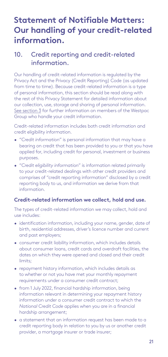# <span id="page-20-0"></span>**Statement of Notifiable Matters: Our handling of your credit-related information.**

# <span id="page-20-1"></span>10. Credit reporting and credit-related information.

Our handling of credit-related information is regulated by the Privacy Act and the Privacy (Credit Reporting) Code (as updated from time to time). Because credit-related information is a type of personal information, this section should be read along with the rest of this Privacy Statement for detailed information about our collection, use, storage and sharing of personal information. [See section 3](#page-7-1) for further information on members of the Westpac Group who handle your credit information.

Credit-related information includes both credit information and credit eligibility information.

- "*Credit information*" is personal information that may have a bearing on credit that has been provided to you or that you have applied for, including credit for personal, investment or business purposes.
- "*Credit eligibility information*" is information related primarily to your credit-related dealings with other credit providers and comprises of "credit reporting information" disclosed by a credit reporting body to us, and information we derive from that information.

#### **Credit-related information we collect, hold and use.**

The types of credit-related information we may collect, hold and use includes:

- identification information, including your name, gender, date of birth, residential addresses, driver's licence number and current and past employers;
- consumer credit liability information, which includes details about consumer loans, credit cards and overdraft facilities, the dates on which they were opened and closed and their credit limits;
- repayment history information, which includes details as to whether or not you have met your monthly repayment requirements under a consumer credit contract;
- from 1 July 2022, financial hardship information, being information relevant in determining your repayment history information under a consumer credit contract to which the *National Credit Code* applies when you are in a financial hardship arrangement;
- a statement that an information request has been made to a credit reporting body in relation to you by us or another credit provider, a mortgage insurer or trade insurer;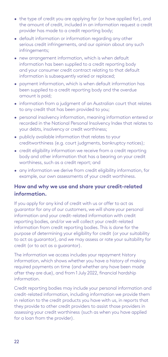- the type of credit you are applying for (or have applied for), and the amount of credit, included in an information request a credit provider has made to a credit reporting body;
- default information or information regarding any other serious credit infringements, and our opinion about any such infringements;
- new arrangement information, which is when default information has been supplied to a credit reporting body and your consumer credit contract relating to that default information is subsequently varied or replaced;
- payment information, which is when default information has been supplied to a credit reporting body and the overdue amount is paid;
- information from a judgment of an Australian court that relates to any credit that has been provided to you;
- personal insolvency information, meaning information entered or recorded in the National Personal Insolvency Index that relates to your debts, insolvency or credit worthiness;
- publicly available information that relates to your creditworthiness (e.g. court judgments, bankruptcy notices);
- credit eligibility information we receive from a credit reporting body and other information that has a bearing on your credit worthiness, such as a credit report; and
- any information we derive from credit eligibility information, for example, our own assessments of your credit worthiness.

#### **How and why we use and share your credit-related information.**

If you apply for any kind of credit with us or offer to act as guarantor for any of our customers, we will share your personal information and your credit-related information with credit reporting bodies, and/or we will collect your credit-related information from credit reporting bodies. This is done for the purpose of determining your eligibility for credit (or your suitability to act as guarantor), and we may assess or rate your suitability for credit (or to act as a guarantor).

The information we access includes your repayment history information, which shows whether you have a history of making required payments on time (and whether any have been made after they are due), and from 1 July 2022, financial hardship information.

Credit reporting bodies may include your personal information and credit-related information, including information we provide them in relation to the credit products you have with us, in reports that they provide to other credit providers to assist those providers in assessing your credit worthiness (such as when you have applied for a loan from the provider).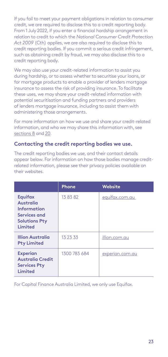If you fail to meet your payment obligations in relation to consumer credit, we are required to disclose this to a credit reporting body. From 1 July 2022, if you enter a financial hardship arrangement in relation to credit to which the *National Consumer Credit Protection Act 2009* (Cth) applies, we are also required to disclose this to credit reporting bodies. If you commit a serious credit infringement, such as obtaining credit by fraud, we may also disclose this to a credit reporting body.

We may also use your credit-related information to assist you during hardship, or to assess whether to securitise your loans, or for mortgage products to enable a provider of lenders mortgage insurance to assess the risk of providing insurance. To facilitate these uses, we may share your credit-related information with potential securitisation and funding partners and providers of lenders mortgage insurance, including to assist them with administering those arrangements.

For more information on how we use and share your credit-related information, and who we may share this information with, see [sections 8](#page-15-1) and [20.](#page-33-1)

#### **Contacting the credit reporting bodies we use.**

The credit reporting bodies we use, and their contact details appear below. For information on how those bodies manage creditrelated information, please see their privacy policies available on their websites.

|                                                                                                      | Phone        | Website         |
|------------------------------------------------------------------------------------------------------|--------------|-----------------|
| <b>Equifax</b><br><b>Australia</b><br>Information<br>Services and<br><b>Solutions Pty</b><br>Limited | 13 83 82     | equifax.com.au  |
| <b>Illion Australia</b><br><b>Pty Limited</b>                                                        | 13 23 33     | illion.com.au   |
| <b>Experian</b><br><b>Australia Credit</b><br><b>Services Pty</b><br>Limited                         | 1300 783 684 | experian.com.au |

For Capital Finance Australia Limited, we only use Equifax.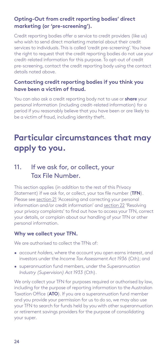#### <span id="page-23-0"></span>**Opting-Out from credit reporting bodies' direct marketing (or 'pre-screening').**

Credit reporting bodies offer a service to credit providers (like us) who wish to send direct marketing material about their credit services to individuals. This is called 'credit pre-screening'. You have the right to request that the credit reporting bodies do not use your credit-related information for this purpose. To opt-out of credit pre-screening, contact the credit reporting body using the contact details noted above.

#### **Contacting credit reporting bodies if you think you have been a victim of fraud.**

You can also ask a credit reporting body not to use or **share** your personal information (including credit-related information) for a period if you reasonably believe that you have been or are likely to be a victim of fraud, including identity theft.

# **Particular circumstances that may apply to you.**

## <span id="page-23-1"></span>11. If we ask for, or collect, your Tax File Number.

This section applies (*in addition* to the rest of this Privacy Statement) if we ask for, or collect, your tax file number (**TFN**). Please see [section 21](#page-34-1) 'Accessing and correcting your personal information and/or credit information' and [section 22](#page-35-1) 'Resolving your privacy complaints' to find out how to access your TFN, correct your details, or complain about our handling of your TFN or other personal information.

#### **Why we collect your TFN.**

We are authorised to collect the TFNs of:

- *account holders*, where the account you open earns interest, and investors under the *Income Tax Assessment Act 1936* (Cth); and
- superannuation fund members, under the *Superannuation Industry (Supervision) Act 1933* (Cth).

We only collect your TFN for purposes required or authorised by law. including for the purpose of reporting information to the Australian Taxation Office (**ATO**). If you are a superannuation fund member and you provide your permission for us to do so, we may also use your TFN to search for funds held by you with other superannuation or retirement savings providers for the purpose of consolidating your super.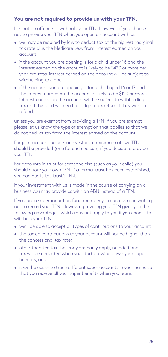#### **You are not required to provide us with your TFN.**

It is not an offence to withhold your TFN. However, if you choose not to provide your TFN when you open an account with us:

- we may be required by law to deduct tax at the highest marginal tax rate plus the Medicare Levy from interest earned on your account;
- if the account you are opening is for a child under 16 and the interest earned on the account is likely to be \$420 or more per year pro-rata, interest earned on the account will be subject to withholding tax; and
- if the account you are opening is for a child aged 16 or 17 and the interest earned on the account is likely to be \$120 or more, interest earned on the account will be subject to withholding tax and the child will need to lodge a tax return if they want a refund,

unless you are exempt from providing a TFN. If you are exempt, please let us know the type of exemption that applies so that we do not deduct tax from the interest earned on the account.

For joint account holders or investors, a minimum of two TFNs should be provided (one for each person) if you decide to provide your TFN.

For accounts in trust for someone else (such as your child) you should quote your own TFN. If a formal trust has been established, you can quote the trust's TFN.

If your investment with us is made in the course of carrying on a business you may provide us with an ABN instead of a TFN.

If you are a superannuation fund member you can ask us in writing not to record your TFN. However, providing your TFN gives you the following advantages, which may not apply to you if you choose to withhold your TFN:

- we'll be able to accept all types of contributions to your account;
- the tax on contributions to your account will not be higher than the concessional tax rate;
- other than the tax that may ordinarily apply, no additional tax will be deducted when you start drawing down your super benefits; and
- it will be easier to trace different super accounts in your name so that you receive all your super benefits when you retire.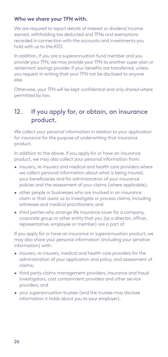#### <span id="page-25-0"></span>**Who we share your TFN with.**

We are required to report details of interest or dividend income earned, withholding tax deducted and TFNs and exemptions recorded in connection with the accounts and investments you hold with us to the ATO.

In addition, if you are a superannuation fund member and you provide your TFN, we may provide your TFN to another super plan or retirement savings provider if your benefits are transferred, unless you request in writing that your TFN not be disclosed to anyone else.

Otherwise, your TFN will be kept confidential and only shared where permitted by law.

# <span id="page-25-1"></span>12. If you apply for, or obtain, an insurance product.

We collect your personal information in relation to your application for insurance for the purpose of underwriting that insurance product.

In addition to the above, if you apply for or have an insurance product, we may also collect your personal information from:

- insurers, re-insurers and medical and health care providers where we collect personal information about what is being insured, your beneficiaries and for administration of your insurance policies and the assessment of your claims (where applicable);
- other people or businesses who are involved in an insurance claim or that assist us to investigate or process claims, including witnesses and medical practitioners; and
- third parties who arrange life insurance cover for a company, corporate group or other entity that you (as a director, officer, representative, employee or member) are a part of.

If you apply for or have an insurance or superannuation product, we may also share your personal information (including your sensitive information) with:

- insurers, re-insurers, medical and health care providers for the administration of your application and policy, and assessment of claims;
- third party claims management providers, insurance and fraud investigators, cost containment providers and other service providers; and
- your superannuation trustee (and the trustee may disclose information it holds about you to your employer).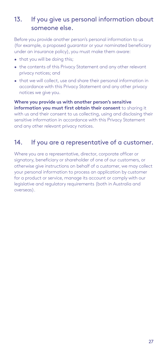# <span id="page-26-1"></span><span id="page-26-0"></span>13. If you give us personal information about someone else.

Before you provide another person's personal information to us (for example, a proposed guarantor or your nominated beneficiary under an insurance policy), you must make them aware:

- that you will be doing this;
- the contents of this Privacy Statement and any other relevant privacy notices; and
- that we will collect, use and share their personal information in accordance with this Privacy Statement and any other privacy notices we give you.

**Where you provide us with another person's sensitive information you must first obtain their consent** to sharing it with us and their consent to us collecting, using and disclosing their sensitive information in accordance with this Privacy Statement and any other relevant privacy notices.

### 14. If you are a representative of a customer.

Where you are a representative, director, corporate officer or signatory, beneficiary or shareholder of one of our customers, or otherwise give instructions on behalf of a customer, we may collect your personal information to process an application by customer for a product or service, manage its account or comply with our legislative and regulatory requirements (both in Australia and overseas).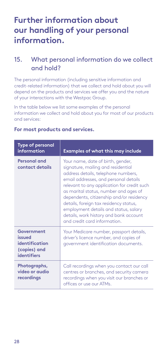# <span id="page-27-0"></span>**Further information about our handling of your personal information.**

# 15. What personal information do we collect and hold?

The personal information (including sensitive information and credit-related information) that we collect and hold about you will depend on the products and services we offer you and the nature of your interactions with the Westpac Group.

In the table below we list some examples of the personal information we collect and hold about you for most of our products and services:

| <b>Type of personal</b><br><i>information</i>                                | <b>Examples of what this may include</b>                                                                                                                                                                                                                                                                                                                                                                                                                 |
|------------------------------------------------------------------------------|----------------------------------------------------------------------------------------------------------------------------------------------------------------------------------------------------------------------------------------------------------------------------------------------------------------------------------------------------------------------------------------------------------------------------------------------------------|
| Personal and<br>contact details                                              | Your name, date of birth, gender,<br>signature, mailing and residential<br>address details, telephone numbers,<br>email addresses, and personal details<br>relevant to any application for credit such<br>as marital status, number and ages of<br>dependents, citizenship and/or residency<br>details, foreign tax residency status,<br>employment details and status, salary<br>details, work history and bank account<br>and credit card information. |
| Government<br>heuzzi<br>identification<br>(copies) and<br><b>identifiers</b> | Your Medicare number, passport details,<br>driver's licence number, and copies of<br>government identification documents.                                                                                                                                                                                                                                                                                                                                |
| Photographs,<br>video or audio<br>recordings                                 | Call recordings when you contact our call<br>centres or branches, and security camera<br>recordings when you visit our branches or<br>offices or use our ATMs.                                                                                                                                                                                                                                                                                           |

#### **For most products and services.**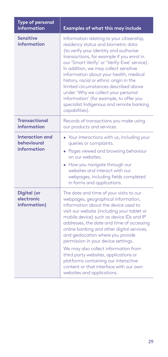| <b>Type of personal</b><br>information               | Examples of what this may include                                                                                                                                                                                                                                                                                                                                                                                                                                                                                                                                                         |
|------------------------------------------------------|-------------------------------------------------------------------------------------------------------------------------------------------------------------------------------------------------------------------------------------------------------------------------------------------------------------------------------------------------------------------------------------------------------------------------------------------------------------------------------------------------------------------------------------------------------------------------------------------|
| <b>Sensitive</b><br>information                      | Information relating to your citizenship,<br>residency status and biometric data<br>(to verify your identity and authorise<br>transactions, for example if you enrol in<br>our 'Smart Verify' or 'Verify-Ewe' service).<br>In addition, we may collect sensitive<br>information about your health, medical<br>history, racial or ethnic origin in the<br>limited circumstances described above<br>under 'Why we collect your personal<br>information' (for example, to offer you<br>specialist Indigenous and remote banking<br>capabilities).                                            |
| <b>Transactional</b><br>information                  | Records of transactions you make using<br>our products and services.                                                                                                                                                                                                                                                                                                                                                                                                                                                                                                                      |
| <b>Interaction and</b><br>behavioural<br>information | • Your interactions with us, including your<br>queries or complaints.<br>• Pages viewed and browsing behaviour<br>on our websites.<br>• How you navigate through our<br>websites and interact with our<br>webpages, including fields completed<br>in forms and applications.                                                                                                                                                                                                                                                                                                              |
| Digital (or<br>electronic<br>information)            | The date and time of your visits to our<br>webpages, geographical information,<br>information about the device used to<br>visit our website (including your tablet or<br>mobile device) such as device IDs and IP<br>addresses, the date and time of accessing<br>online banking and other digital services,<br>and geolocation where you provide<br>permission in your device settings.<br>We may also collect information from<br>third party websites, applications or<br>platforms containing our interactive<br>content or that interface with our own<br>websites and applications. |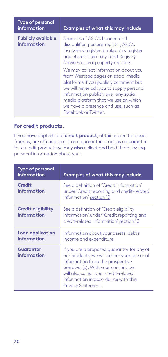| <b>Type of personal</b><br>information   | <b>Examples of what this may include</b>                                                                                                                                                                                                                                                                      |
|------------------------------------------|---------------------------------------------------------------------------------------------------------------------------------------------------------------------------------------------------------------------------------------------------------------------------------------------------------------|
| <b>Publicly available</b><br>information | Searches of ASIC's banned and<br>disqualified persons register, ASIC's<br>insolvency register, bankruptcy register<br>and State or Territory Land Registry<br>Services or real property registers.                                                                                                            |
|                                          | We may collect information about you<br>from Westpac pages on social media<br>platforms if you publicly comment but<br>we will never ask you to supply personal<br>information publicly over any social<br>media platform that we use on which<br>we have a presence and use, such as<br>Facebook or Twitter. |

#### **For credit products.**

If you have applied for a **credit product**, obtain a credit product from us, are offering to act as a guarantor or act as a guarantor for a credit product, we may **also** collect and hold the following personal information about you:

| <b>Type of personal</b><br><i>information</i> | <b>Examples of what this may include</b>                                                                                                                                                                                                                                  |
|-----------------------------------------------|---------------------------------------------------------------------------------------------------------------------------------------------------------------------------------------------------------------------------------------------------------------------------|
| Credit<br>information                         | See a definition of 'Credit information'<br>under 'Credit reporting and credit-related<br>information' section 10.                                                                                                                                                        |
| Credit eligibility<br>information             | See a definition of 'Credit eligibility<br>information' under 'Credit reporting and<br>credit-related information' section 10.                                                                                                                                            |
| Loan application<br>information               | Information about your assets, debts,<br>income and expenditure.                                                                                                                                                                                                          |
| Guarantor<br>information                      | If you are a proposed quarantor for any of<br>our products, we will collect your personal<br>information from the prospective<br>borrower(s). With your consent, we<br>will also collect your credit-related<br>information in accordance with this<br>Privacy Statement. |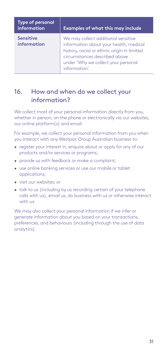<span id="page-30-0"></span>

| <b>Type of personal</b><br>information | <b>Examples of what this may include</b>                                                                                                                                                                             |
|----------------------------------------|----------------------------------------------------------------------------------------------------------------------------------------------------------------------------------------------------------------------|
| <b>Sensitive</b><br>information        | We may collect additional sensitive<br>information about your health, medical<br>history, racial or ethnic origin in limited<br>circumstances described above<br>under 'Why we collect your personal<br>information' |

## 16. How and when do we collect your information?

We collect most of your personal information directly from you, whether in person, on the phone or electronically via our websites, our online platform(s) and email.

For example, we collect your personal information from you when you interact with any Westpac Group Australian business to:

- register your interest in, enquire about or apply for any of our products and/or services or programs;
- provide us with feedback or make a complaint;
- use online banking services or use our mobile or tablet applications;
- visit our websites; or
- talk to us (including by us recording certain of your telephone calls with us), email us, do business with us or otherwise interact with us.

We may also collect your personal information if we infer or generate information about you based on your transactions, preferences, and behaviours (including through the use of data analytics).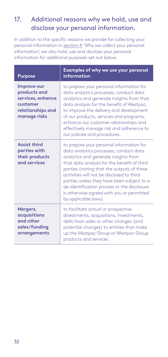# <span id="page-31-0"></span>17. Additional reasons why we hold, use and disclose your personal information.

In addition to the specific reasons we provide for collecting your personal information in [section 4](#page-9-1) 'Why we collect your personal information', we also hold, use and disclose your personal information for additional purposes set out below.

| <b>Purpose</b>                                                                                    | Examples of why we use your personal<br>information                                                                                                                                                                                                                                                                                                                                                                                   |
|---------------------------------------------------------------------------------------------------|---------------------------------------------------------------------------------------------------------------------------------------------------------------------------------------------------------------------------------------------------------------------------------------------------------------------------------------------------------------------------------------------------------------------------------------|
| Improve our<br>products and<br>services, enhance<br>customer<br>relationships and<br>manage risks | to prepare your personal information for<br>data analytics processes, conduct data<br>analytics and generate insights from that<br>data analysis for the benefit of Westpac,<br>to improve the delivery and development<br>of our products, services and programs,<br>enhance our customer relationships and<br>effectively manage risk and adherence to<br>our policies and procedures.                                              |
| <b>Assist third</b><br>parties with<br>their products<br>and services                             | to prepare your personal information for<br>data analytics processes, conduct data<br>analytics and generate insights from<br>that data analysis for the benefit of third<br>parties (noting that the outputs of these<br>activities will not be disclosed to third<br>parties unless they have been subject to a<br>de-identification process or the disclosure<br>is otherwise agreed with you or permitted<br>by applicable laws). |
| Mergers,<br>acquisitions<br>and other<br>sales/funding<br>arrangements                            | to facilitate actual or prospective<br>divestments, acquisitions, investments,<br>debt/loan sales or other changes (and<br>potential changes) to entities that make<br>up the Westpac Group or Westpac Group<br>products and services.                                                                                                                                                                                                |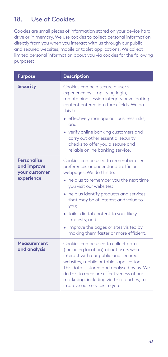# <span id="page-32-0"></span>18. Use of Cookies.

Cookies are small pieces of information stored on your device hard drive or in memory. We use cookies to collect personal information directly from you when you interact with us through our public and secured websites, mobile or tablet applications. We collect limited personal information about you via cookies for the following purposes:

| <b>Purpose</b>                                                   | <b>Description</b>                                                                                                                                                                                                                                                                                                                                                                                                      |
|------------------------------------------------------------------|-------------------------------------------------------------------------------------------------------------------------------------------------------------------------------------------------------------------------------------------------------------------------------------------------------------------------------------------------------------------------------------------------------------------------|
| <b>Security</b>                                                  | Cookies can help secure a user's<br>experience by simplifying login,<br>maintaining session integrity or validating<br>content entered into form fields. We do<br>this to:<br>• effectively manage our business risks;<br>and<br>• verify online banking customers and<br>carry out other essential security<br>checks to offer you a secure and<br>reliable online banking service.                                    |
| <b>Personalise</b><br>and improve<br>your customer<br>experience | Cookies can be used to remember user<br>preferences or understand traffic or<br>webpages. We do this to:<br>help us to remember you the next time<br>you visit our websites;<br>• help us identify products and services<br>that may be of interest and value to<br>you;<br>• tailor digital content to your likely<br>interests: and<br>improve the pages or sites visited by<br>making them faster or more efficient. |
| Measurement<br>and analysis                                      | Cookies can be used to collect data<br>(including location) about users who<br>interact with our public and secured<br>websites, mobile or tablet applications.<br>This data is stored and analysed by us. We<br>do this to measure effectiveness of our<br>marketing, including via third parties, to<br>improve our services to you.                                                                                  |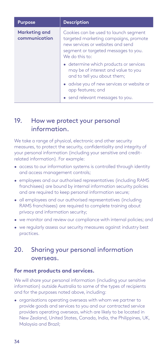<span id="page-33-0"></span>

| <b>Purpose</b>                        | <b>Description</b>                                                                                                                                                            |
|---------------------------------------|-------------------------------------------------------------------------------------------------------------------------------------------------------------------------------|
| <b>Marketing and</b><br>communication | Cookies can be used to launch segment<br>targeted marketing campaigns, promote<br>new services or websites and send<br>segment or targeted messages to you.<br>We do this to: |
|                                       | • determine which products or services<br>may be of interest and value to you<br>and to tell you about them;                                                                  |
|                                       | • advise you of new services or website or<br>app features; and                                                                                                               |
|                                       | • send relevant messages to you.                                                                                                                                              |

## 19. How we protect your personal information.

We take a range of physical, electronic and other security measures, to protect the security, confidentiality and integrity of your personal information (including your sensitive and creditrelated information). For example:

- access to our information systems is controlled through identity and access management controls;
- employees and our authorised representatives (including RAMS franchisees) are bound by internal information security policies and are required to keep personal information secure;
- all employees and our authorised representatives (including RAMS franchisees) are required to complete training about privacy and information security;
- we monitor and review our compliance with internal policies; and
- we regularly assess our security measures against industry best practices.

# <span id="page-33-1"></span>20. Sharing your personal information overseas.

#### **For most products and services.**

We will share your personal information (including your sensitive information) outside Australia to some of the types of recipients and for the purposes noted above, including:

• organisations operating overseas with whom we partner to provide goods and services to you and our contracted service providers operating overseas, which are likely to be located in New Zealand, United States, Canada, India, the Philippines, UK, Malaysia and Brazil;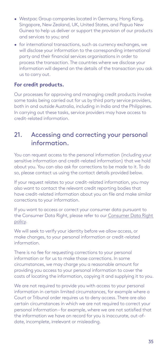- <span id="page-34-0"></span>• Westpac Group companies located in Germany, Hong Kong, Singapore, New Zealand, UK, United States, and Papua New Guinea to help us deliver or support the provision of our products and services to you; and
- for international transactions, such as currency exchanges, we will disclose your information to the corresponding international party and their financial services organisations in order to process the transaction. The countries where we disclose your information will depend on the details of the transaction you ask us to carry out.

#### **For credit products.**

Our processes for approving and managing credit products involve some tasks being carried out for us by third party service providers, both in and outside Australia, including in India and the Philippines. In carrying out these tasks, service providers may have access to credit-related information.

### <span id="page-34-1"></span>21. Accessing and correcting your personal information.

You can request access to the personal information (including your sensitive information and credit-related information) that we hold about you. You can also ask for corrections to be made to it. To do so, please contact us using the contact details provided below.

If your request relates to your credit-related information, you may also want to contact the relevant credit reporting bodies that have credit-related information about you on file and make similar corrections to your information.

If you want to access or correct your consumer data pursuant to the Consumer Data Right, please refer to our [Consumer Data Right](https://www.westpac.com.au/content/dam/public/wbc/documents/pdf/aw/WBC_CDR_Policy.pdf)  [policy](https://www.westpac.com.au/content/dam/public/wbc/documents/pdf/aw/WBC_CDR_Policy.pdf).

We will seek to verify your identity before we allow access, or make changes, to your personal information or credit-related information.

There is no fee for requesting corrections to your personal information or for us to make those corrections. In some circumstances, we may charge you a reasonable amount for providing you access to your personal information to cover the costs of locating the information, copying it and supplying it to you.

We are not required to provide you with access to your personal information in certain limited circumstances, for example where a Court or Tribunal order requires us to deny access. There are also certain circumstances in which we are not required to correct your personal information – for example, where we are not satisfied that the information we have on record for you is inaccurate, out-ofdate, incomplete, irrelevant or misleading.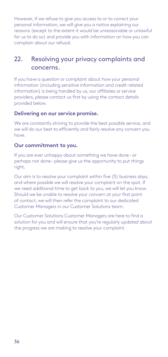<span id="page-35-0"></span>However, if we refuse to give you access to or to correct your personal information, we will give you a notice explaining our reasons (except to the extent it would be unreasonable or unlawful for us to do so) and provide you with information on how you can complain about our refusal.

# <span id="page-35-1"></span>22. Resolving your privacy complaints and concerns.

If you have a question or complaint about how your personal information (including sensitive information and credit-related information) is being handled by us, our affiliates or service providers, please contact us first by using the contact details provided below.

#### **Delivering on our service promise.**

We are constantly striving to provide the best possible service, and we will do our best to efficiently and fairly resolve any concern you have.

#### **Our commitment to you.**

If you are ever unhappy about something we have done – or perhaps not done – please give us the opportunity to put things right.

Our aim is to resolve your complaint within five (5) business days, and where possible we will resolve your complaint on the spot. If we need additional time to get back to you, we will let you know. Should we be unable to resolve your concern at your first point of contact, we will then refer the complaint to our dedicated Customer Managers in our Customer Solutions team.

Our Customer Solutions Customer Managers are here to find a solution for you and will ensure that you're regularly updated about the progress we are making to resolve your complaint.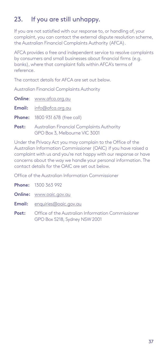# <span id="page-36-0"></span>23. If you are still unhappy.

If you are not satisfied with our response to, or handling of, your complaint, you can contact the external dispute resolution scheme, the Australian Financial Complaints Authority (AFCA).

AFCA provides a free and independent service to resolve complaints by consumers and small businesses about financial firms (e.g. banks), where that complaint falls within AFCA's terms of reference.

The contact details for AFCA are set out below.

Australian Financial Complaints Authority

| <b>Online:</b> www.afca.org.au                                                          |
|-----------------------------------------------------------------------------------------|
| <b>Email:</b> info@afca.org.au                                                          |
| <b>Phone:</b> 1800 931 678 (free call)                                                  |
| <b>Post:</b> Australian Financial Complaints Authority<br>GPO Box 3, Melbourne VIC 3001 |
| Lleder the Driven : Act you populate the the Office                                     |

Under the Privacy Act you may complain to the Office of the Australian Information Commissioner (OAIC) if you have raised a complaint with us and you're not happy with our response or have concerns about the way we handle your personal information. The contact details for the OAIC are set out below.

Office of the Australian Information Commissioner

- **Phone:** 1300 363 992
- **Online:** www.oaic.gov.au
- **Email:** enquiries@oaic.gov.au
- **Post:** Office of the Australian Information Commissioner GPO Box 5218, Sydney NSW 2001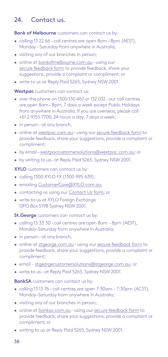# <span id="page-37-0"></span>24. Contact us.

**Bank of Melbourne** customers can contact us by:

- calling 13 22 66 call centres are open 8am 8pm (AEST), Monday – Saturday from anywhere in Australia;
- visiting any of our branches in person;
- online at [bankofmelbourne.com.au](http://bankofmelbourne.com.au) using our [secure feedback form](https://eforms.bankofmelbourne.com.au/olfmu/eforms/ConsumerFeedback/#/welcome) to provide feedback, share your suggestions, provide a complaint or compliment; or
- write to us at Reply Paid 5265, Sydney NSW 2001.

**Westpac** customers can contact us:

- over the phone on 1300 130 467 or 132 032 our call centres are open 8am – 8pm, 7 days a week except Public Holidays from anywhere in Australia. If you are overseas, please call +61 2 9155 7700, 24 hours a day, 7 days a week;
- in person at any branch;
- online at [westpac.com.au](http://westpac.com.au) using our [secure feedback form](https://banking.westpac.com.au/olfmu/eforms/ConsumerFeedback/#/welcome) to provide feedback, share your suggestions, provide a complaint or compliment;
- by email – [westpaccustomersolutions@westpac.com.au;](mailto:westpaccustomersolutions%40westpac.com.au?subject=) or
- by writing to us at Reply Paid 5265, Sydney NSW 2001.

**XYLO** customers can contact us by:

- calling 1300 XYLO FX (1300 995 639);
- emailing [CustomerCare@XYLO.com.au](mailto:CustomerCare%40XYLO.com.au?subject=);
- contacting us using our [Contact Us form](https://www.xylo.com.au/contact_us.aspx); or
- write to us at XYLO Foreian Exchange GPO Box 5198 Sydney NSW 2001.

**St.George** customers can contact us by:

- calling 13 33 30 call centres are open 8am 8pm (AEST), Monday-Saturday from anywhere in Australia;
- in person-at any branch;
- online at [stgeorge.com.au](http://stgeorge.com.au) using our [secure feedback form](https://eforms.stgeorge.com.au/olfmu/eforms/ConsumerFeedback/#/welcome) to provide feedback, share your suggestions, provide a complaint or compliment;
- email - [stgeorgecustomersolutions@stgeorge.com.au](mailto:stgeorgecustomersolutions%40stgeorge.com.au?subject=); or
- write to us at Reply Paid 5265, Sydney NSW 2001

**BankSA** customers can contact us by:

- calling 13 13 76 call centres are open 7:30am 7:30pm (ACST), Monday–Saturday from anywhere in Australia;
- visiting any of our branches in person;
- online at [banksa.com.au](http://bankofmelbourne.com.au) using our [secure feedback form](https://eforms.banksa.com.au/olfmu/eforms/ConsumerFeedback/#/welcome ) to provide feedback, share your suggestions, provide a complaint or compliment; or
- writing to us at Reply Paid 5265, Sydney NSW 2001.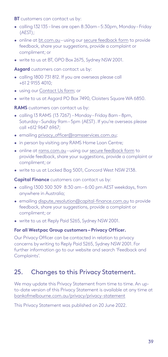<span id="page-38-0"></span>**BT** customers can contact us by:

- calling 132 135 lines are open 8:30am 5:30pm, Monday Friday (AEST);
- online at [bt.com.au](http://bt.com.au)  using our [secure feedback form](https://secure.bt.com.au/forms/complaints.asp) to provide feedback, share your suggestions, provide a complaint or compliment; or
- write to us at BT, GPO Box 2675, Sydney NSW 2001.

**Asgard** customers can contact us by:

- calling 1800 731 812. If you are overseas please call +61 2 9155 4010;
- using our [Contact Us form](https://secure.bt.com.au/contact-us/contact-asgard.asp); or
- write to us at Asgard PO Box 7490, Cloisters Square WA 6850.

**RAMS** customers can contact us by:

- calling 13 RAMS (13 7267) Monday Friday 8am 8pm, Saturday – Sunday 9am – 5pm (AEST). If you're overseas please call +612 9647 6967;
- emailing [privacy\\_officer@ramsservices.com.au;](mailto:privacy_officer%40ramsservices.com.au?subject=)
- in person by visiting any RAMS Home Loan Centre;
- online at [rams.com.au](http://rams.com.au)  using our [secure feedback form](https://www.rams.com.au/contact-us-feedback-and-complaints/) to provide feedback, share your suggestions, provide a complaint or compliment; or
- write to us at Locked Bag 5001, Concord West NSW 2138.

**Capital Finance** customers can contact us by:

- calling 1300 300 309 8:30 am 6:00 pm AEST weekdays, from anywhere in Australia;
- emailing [dispute\\_resolution@capital-finance.com.au](mailto:dispute_resolution%40capital-finance.com.au?subject=) to provide feedback, share your suggestions, provide a complaint or compliment; or
- write to us at Reply Paid 5265, Sydney NSW 2001.

#### **For all Westpac Group customers – Privacy Officer.**

Our Privacy Officer can be contacted in relation to privacy concerns by writing to Reply Paid 5265, Sydney NSW 2001. For further information go to our website and search 'Feedback and Complaints'.

## 25. Changes to this Privacy Statement.

We may update this Privacy Statement from time to time. An upto-date version of this Privacy Statement is available at any time at [bankofmelbourne.com.au/privacy/privacy-statement](http://www.bankofmelbourne.com.au/privacy/privacy-statement)

This Privacy Statement was published on 20 June 2022.